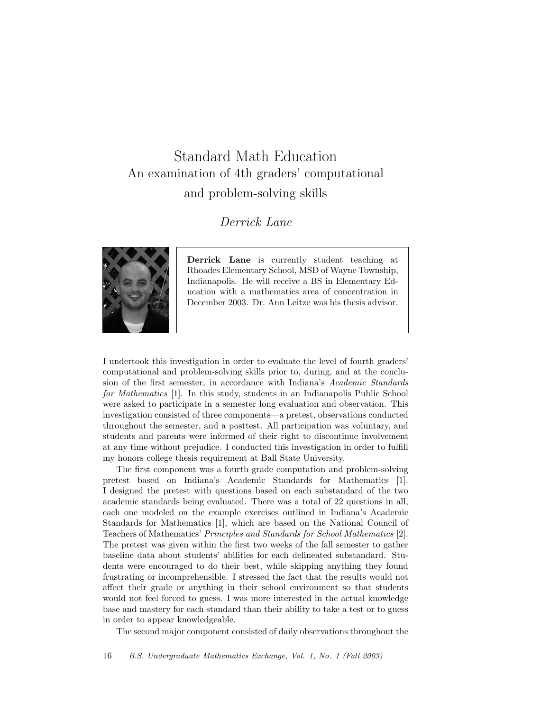## Standard Math Education An examination of 4th graders' computational and problem-solving skills

## Derrick Lane



Derrick Lane is currently student teaching at Rhoades Elementary School, MSD of Wayne Township, Indianapolis. He will receive a BS in Elementary Education with a mathematics area of concentration in December 2003. Dr. Ann Leitze was his thesis advisor.

I undertook this investigation in order to evaluate the level of fourth graders' computational and problem-solving skills prior to, during, and at the conclusion of the first semester, in accordance with Indiana's Academic Standards for Mathematics [1]. In this study, students in an Indianapolis Public School were asked to participate in a semester long evaluation and observation. This investigation consisted of three components—a pretest, observations conducted throughout the semester, and a posttest. All participation was voluntary, and students and parents were informed of their right to discontinue involvement at any time without prejudice. I conducted this investigation in order to fulfill my honors college thesis requirement at Ball State University.

The first component was a fourth grade computation and problem-solving pretest based on Indiana's Academic Standards for Mathematics [1]. I designed the pretest with questions based on each substandard of the two academic standards being evaluated. There was a total of 22 questions in all, each one modeled on the example exercises outlined in Indiana's Academic Standards for Mathematics [1], which are based on the National Council of Teachers of Mathematics' Principles and Standards for School Mathematics [2]. The pretest was given within the first two weeks of the fall semester to gather baseline data about students' abilities for each delineated substandard. Students were encouraged to do their best, while skipping anything they found frustrating or incomprehensible. I stressed the fact that the results would not affect their grade or anything in their school environment so that students would not feel forced to guess. I was more interested in the actual knowledge base and mastery for each standard than their ability to take a test or to guess in order to appear knowledgeable.

The second major component consisted of daily observations throughout the